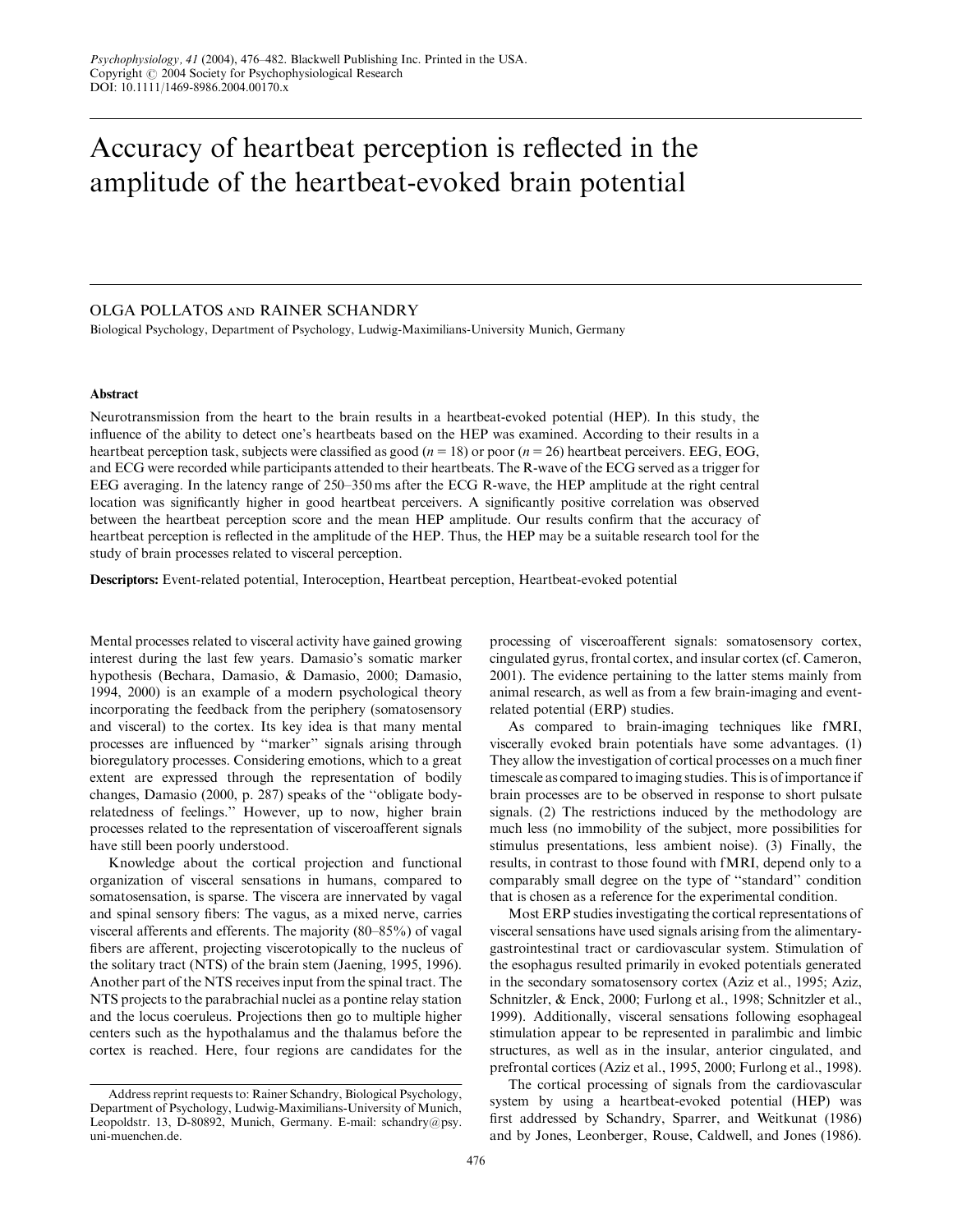# Accuracy of heartbeat perception is reflected in the amplitude of the heartbeat-evoked brain potential

# OLGA POLLATOS and RAINER SCHANDRY

Biological Psychology, Department of Psychology, Ludwig-Maximilians-University Munich, Germany

## Abstract

Neurotransmission from the heart to the brain results in a heartbeat-evoked potential (HEP). In this study, the influence of the ability to detect one's heartbeats based on the HEP was examined. According to their results in a heartbeat perception task, subjects were classified as good ( $n = 18$ ) or poor ( $n = 26$ ) heartbeat perceivers. EEG, EOG, and ECG were recorded while participants attended to their heartbeats. The R-wave of the ECG served as a trigger for EEG averaging. In the latency range of 250–350 ms after the ECG R-wave, the HEP amplitude at the right central location was significantly higher in good heartbeat perceivers. A significantly positive correlation was observed between the heartbeat perception score and the mean HEP amplitude. Our results confirm that the accuracy of heartbeat perception is reflected in the amplitude of the HEP. Thus, the HEP may be a suitable research tool for the study of brain processes related to visceral perception.

Descriptors: Event-related potential, Interoception, Heartbeat perception, Heartbeat-evoked potential

Mental processes related to visceral activity have gained growing interest during the last few years. Damasio's somatic marker hypothesis (Bechara, Damasio, & Damasio, 2000; Damasio, 1994, 2000) is an example of a modern psychological theory incorporating the feedback from the periphery (somatosensory and visceral) to the cortex. Its key idea is that many mental processes are influenced by ''marker'' signals arising through bioregulatory processes. Considering emotions, which to a great extent are expressed through the representation of bodily changes, Damasio (2000, p. 287) speaks of the ''obligate bodyrelatedness of feelings.'' However, up to now, higher brain processes related to the representation of visceroafferent signals have still been poorly understood.

Knowledge about the cortical projection and functional organization of visceral sensations in humans, compared to somatosensation, is sparse. The viscera are innervated by vagal and spinal sensory fibers: The vagus, as a mixed nerve, carries visceral afferents and efferents. The majority (80–85%) of vagal fibers are afferent, projecting viscerotopically to the nucleus of the solitary tract (NTS) of the brain stem (Jaening, 1995, 1996). Another part of the NTS receives input from the spinal tract. The NTS projects to the parabrachial nuclei as a pontine relay station and the locus coeruleus. Projections then go to multiple higher centers such as the hypothalamus and the thalamus before the cortex is reached. Here, four regions are candidates for the processing of visceroafferent signals: somatosensory cortex, cingulated gyrus, frontal cortex, and insular cortex (cf. Cameron, 2001). The evidence pertaining to the latter stems mainly from animal research, as well as from a few brain-imaging and eventrelated potential (ERP) studies.

As compared to brain-imaging techniques like fMRI, viscerally evoked brain potentials have some advantages. (1) They allow the investigation of cortical processes on a much finer timescale as compared to imaging studies. This is of importance if brain processes are to be observed in response to short pulsate signals. (2) The restrictions induced by the methodology are much less (no immobility of the subject, more possibilities for stimulus presentations, less ambient noise). (3) Finally, the results, in contrast to those found with fMRI, depend only to a comparably small degree on the type of ''standard'' condition that is chosen as a reference for the experimental condition.

Most ERP studies investigating the cortical representations of visceral sensations have used signals arising from the alimentarygastrointestinal tract or cardiovascular system. Stimulation of the esophagus resulted primarily in evoked potentials generated in the secondary somatosensory cortex (Aziz et al., 1995; Aziz, Schnitzler, & Enck, 2000; Furlong et al., 1998; Schnitzler et al., 1999). Additionally, visceral sensations following esophageal stimulation appear to be represented in paralimbic and limbic structures, as well as in the insular, anterior cingulated, and prefrontal cortices (Aziz et al., 1995, 2000; Furlong et al., 1998).

The cortical processing of signals from the cardiovascular system by using a heartbeat-evoked potential (HEP) was first addressed by Schandry, Sparrer, and Weitkunat (1986) and by Jones, Leonberger, Rouse, Caldwell, and Jones (1986).

Address reprint requests to: Rainer Schandry, Biological Psychology, Department of Psychology, Ludwig-Maximilians-University of Munich, Leopoldstr. 13, D-80892, Munich, Germany. E-mail: schandry@psy. uni-muenchen.de.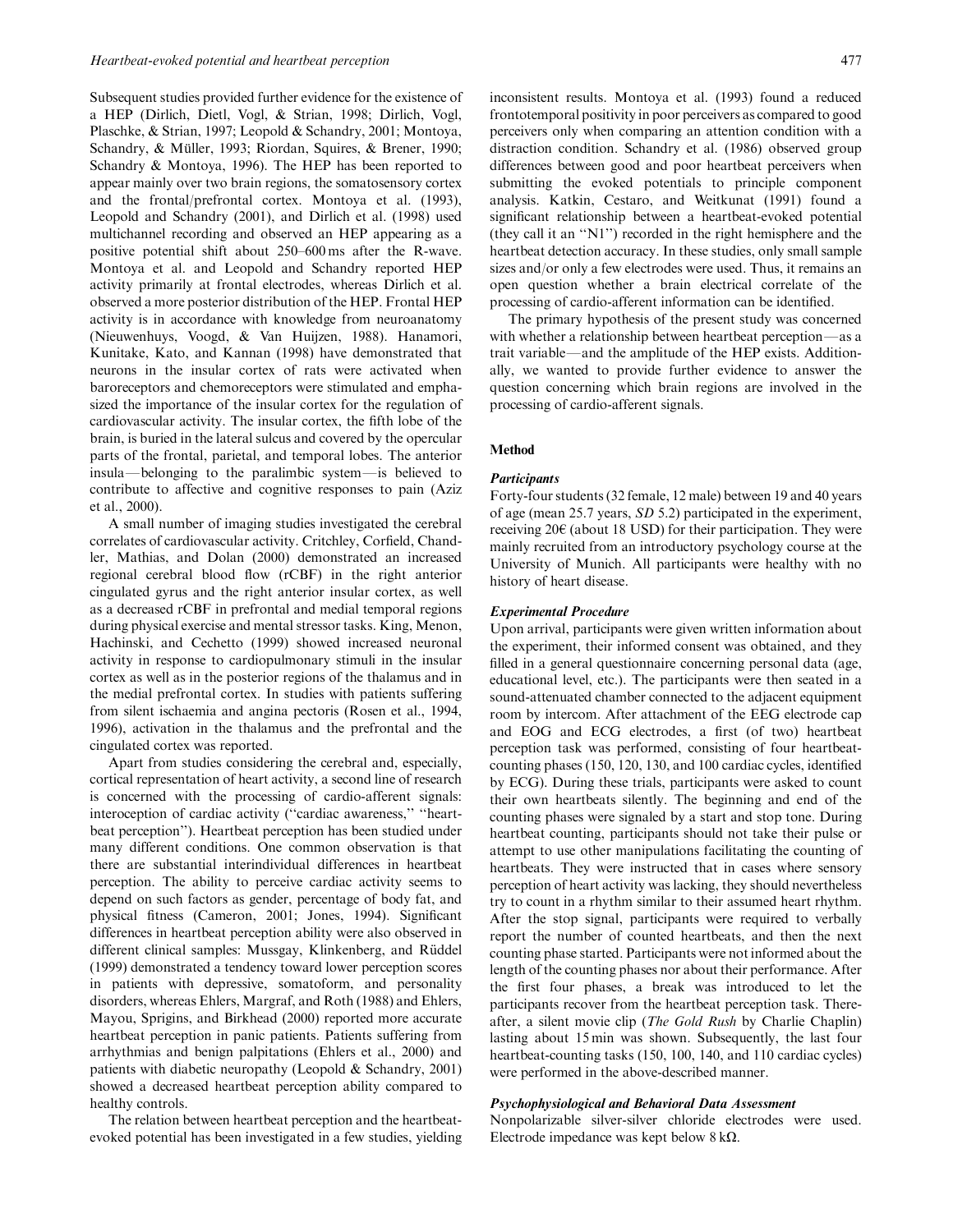Subsequent studies provided further evidence for the existence of a HEP (Dirlich, Dietl, Vogl, & Strian, 1998; Dirlich, Vogl, Plaschke, & Strian, 1997; Leopold & Schandry, 2001; Montoya, Schandry, & Müller, 1993; Riordan, Squires, & Brener, 1990; Schandry & Montoya, 1996). The HEP has been reported to appear mainly over two brain regions, the somatosensory cortex and the frontal/prefrontal cortex. Montoya et al. (1993), Leopold and Schandry (2001), and Dirlich et al. (1998) used multichannel recording and observed an HEP appearing as a positive potential shift about 250–600 ms after the R-wave. Montoya et al. and Leopold and Schandry reported HEP activity primarily at frontal electrodes, whereas Dirlich et al. observed a more posterior distribution of the HEP. Frontal HEP activity is in accordance with knowledge from neuroanatomy (Nieuwenhuys, Voogd, & Van Huijzen, 1988). Hanamori, Kunitake, Kato, and Kannan (1998) have demonstrated that neurons in the insular cortex of rats were activated when baroreceptors and chemoreceptors were stimulated and emphasized the importance of the insular cortex for the regulation of cardiovascular activity. The insular cortex, the fifth lobe of the brain, is buried in the lateral sulcus and covered by the opercular parts of the frontal, parietal, and temporal lobes. The anterior insula—belonging to the paralimbic system—is believed to contribute to affective and cognitive responses to pain (Aziz et al., 2000).

A small number of imaging studies investigated the cerebral correlates of cardiovascular activity. Critchley, Corfield, Chandler, Mathias, and Dolan (2000) demonstrated an increased regional cerebral blood flow (rCBF) in the right anterior cingulated gyrus and the right anterior insular cortex, as well as a decreased rCBF in prefrontal and medial temporal regions during physical exercise and mental stressor tasks. King, Menon, Hachinski, and Cechetto (1999) showed increased neuronal activity in response to cardiopulmonary stimuli in the insular cortex as well as in the posterior regions of the thalamus and in the medial prefrontal cortex. In studies with patients suffering from silent ischaemia and angina pectoris (Rosen et al., 1994, 1996), activation in the thalamus and the prefrontal and the cingulated cortex was reported.

Apart from studies considering the cerebral and, especially, cortical representation of heart activity, a second line of research is concerned with the processing of cardio-afferent signals: interoception of cardiac activity (''cardiac awareness,'' ''heartbeat perception''). Heartbeat perception has been studied under many different conditions. One common observation is that there are substantial interindividual differences in heartbeat perception. The ability to perceive cardiac activity seems to depend on such factors as gender, percentage of body fat, and physical fitness (Cameron, 2001; Jones, 1994). Significant differences in heartbeat perception ability were also observed in different clinical samples: Mussgay, Klinkenberg, and Rüddel (1999) demonstrated a tendency toward lower perception scores in patients with depressive, somatoform, and personality disorders, whereas Ehlers, Margraf, and Roth (1988) and Ehlers, Mayou, Sprigins, and Birkhead (2000) reported more accurate heartbeat perception in panic patients. Patients suffering from arrhythmias and benign palpitations (Ehlers et al., 2000) and patients with diabetic neuropathy (Leopold & Schandry, 2001) showed a decreased heartbeat perception ability compared to healthy controls.

The relation between heartbeat perception and the heartbeatevoked potential has been investigated in a few studies, yielding inconsistent results. Montoya et al. (1993) found a reduced frontotemporal positivity in poor perceivers as compared to good perceivers only when comparing an attention condition with a distraction condition. Schandry et al. (1986) observed group differences between good and poor heartbeat perceivers when submitting the evoked potentials to principle component analysis. Katkin, Cestaro, and Weitkunat (1991) found a significant relationship between a heartbeat-evoked potential (they call it an ''N1'') recorded in the right hemisphere and the heartbeat detection accuracy. In these studies, only small sample sizes and/or only a few electrodes were used. Thus, it remains an open question whether a brain electrical correlate of the processing of cardio-afferent information can be identified.

The primary hypothesis of the present study was concerned with whether a relationship between heartbeat perception—as a trait variable—and the amplitude of the HEP exists. Additionally, we wanted to provide further evidence to answer the question concerning which brain regions are involved in the processing of cardio-afferent signals.

## Method

#### **Participants**

Forty-four students (32 female, 12 male) between 19 and 40 years of age (mean 25.7 years, SD 5.2) participated in the experiment, receiving  $20 \in$  (about 18 USD) for their participation. They were mainly recruited from an introductory psychology course at the University of Munich. All participants were healthy with no history of heart disease.

#### Experimental Procedure

Upon arrival, participants were given written information about the experiment, their informed consent was obtained, and they filled in a general questionnaire concerning personal data (age, educational level, etc.). The participants were then seated in a sound-attenuated chamber connected to the adjacent equipment room by intercom. After attachment of the EEG electrode cap and EOG and ECG electrodes, a first (of two) heartbeat perception task was performed, consisting of four heartbeatcounting phases (150, 120, 130, and 100 cardiac cycles, identified by ECG). During these trials, participants were asked to count their own heartbeats silently. The beginning and end of the counting phases were signaled by a start and stop tone. During heartbeat counting, participants should not take their pulse or attempt to use other manipulations facilitating the counting of heartbeats. They were instructed that in cases where sensory perception of heart activity was lacking, they should nevertheless try to count in a rhythm similar to their assumed heart rhythm. After the stop signal, participants were required to verbally report the number of counted heartbeats, and then the next counting phase started. Participants were not informed about the length of the counting phases nor about their performance. After the first four phases, a break was introduced to let the participants recover from the heartbeat perception task. Thereafter, a silent movie clip (The Gold Rush by Charlie Chaplin) lasting about 15 min was shown. Subsequently, the last four heartbeat-counting tasks (150, 100, 140, and 110 cardiac cycles) were performed in the above-described manner.

### Psychophysiological and Behavioral Data Assessment

Nonpolarizable silver-silver chloride electrodes were used. Electrode impedance was kept below 8 k*O*.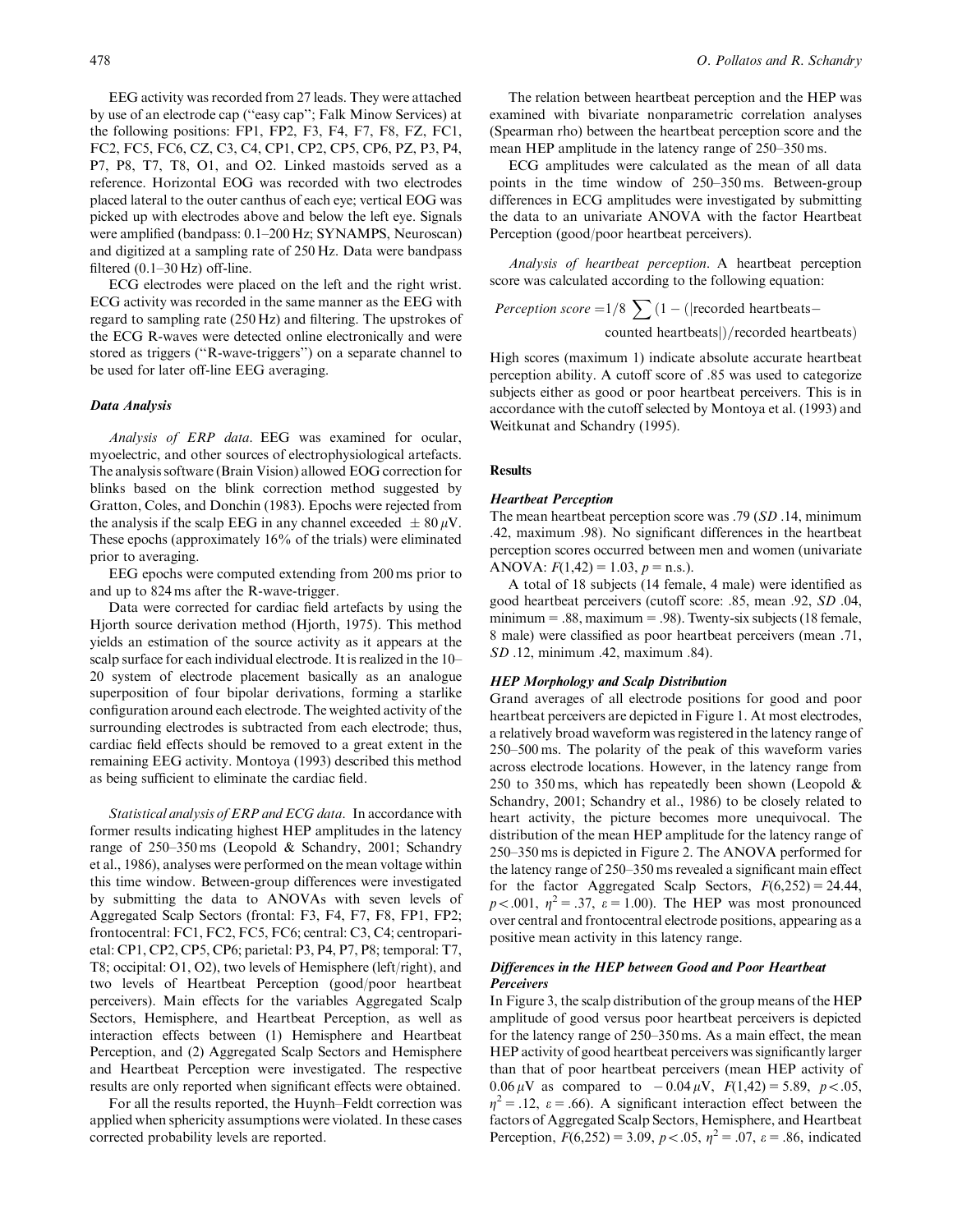EEG activity was recorded from 27 leads. They were attached by use of an electrode cap (''easy cap''; Falk Minow Services) at the following positions: FP1, FP2, F3, F4, F7, F8, FZ, FC1, FC2, FC5, FC6, CZ, C3, C4, CP1, CP2, CP5, CP6, PZ, P3, P4, P7, P8, T7, T8, O1, and O2. Linked mastoids served as a reference. Horizontal EOG was recorded with two electrodes placed lateral to the outer canthus of each eye; vertical EOG was picked up with electrodes above and below the left eye. Signals were amplified (bandpass: 0.1–200 Hz; SYNAMPS, Neuroscan) and digitized at a sampling rate of 250 Hz. Data were bandpass filtered  $(0.1–30 Hz)$  off-line.

ECG electrodes were placed on the left and the right wrist. ECG activity was recorded in the same manner as the EEG with regard to sampling rate (250 Hz) and filtering. The upstrokes of the ECG R-waves were detected online electronically and were stored as triggers (''R-wave-triggers'') on a separate channel to be used for later off-line EEG averaging.

#### Data Analysis

Analysis of ERP data. EEG was examined for ocular, myoelectric, and other sources of electrophysiological artefacts. The analysis software (Brain Vision) allowed EOG correction for blinks based on the blink correction method suggested by Gratton, Coles, and Donchin (1983). Epochs were rejected from the analysis if the scalp EEG in any channel exceeded  $\pm 80 \mu V$ . These epochs (approximately 16% of the trials) were eliminated prior to averaging.

EEG epochs were computed extending from 200 ms prior to and up to 824 ms after the R-wave-trigger.

Data were corrected for cardiac field artefacts by using the Hjorth source derivation method (Hjorth, 1975). This method yields an estimation of the source activity as it appears at the scalp surface for each individual electrode. It is realized in the 10– 20 system of electrode placement basically as an analogue superposition of four bipolar derivations, forming a starlike configuration around each electrode. The weighted activity of the surrounding electrodes is subtracted from each electrode; thus, cardiac field effects should be removed to a great extent in the remaining EEG activity. Montoya (1993) described this method as being sufficient to eliminate the cardiac field.

Statistical analysis of ERP and ECG data. In accordance with former results indicating highest HEP amplitudes in the latency range of 250–350 ms (Leopold & Schandry, 2001; Schandry et al., 1986), analyses were performed on the mean voltage within this time window. Between-group differences were investigated by submitting the data to ANOVAs with seven levels of Aggregated Scalp Sectors (frontal: F3, F4, F7, F8, FP1, FP2; frontocentral: FC1, FC2, FC5, FC6; central: C3, C4; centroparietal: CP1, CP2, CP5, CP6; parietal: P3, P4, P7, P8; temporal: T7, T8; occipital: O1, O2), two levels of Hemisphere (left/right), and two levels of Heartbeat Perception (good/poor heartbeat perceivers). Main effects for the variables Aggregated Scalp Sectors, Hemisphere, and Heartbeat Perception, as well as interaction effects between (1) Hemisphere and Heartbeat Perception, and (2) Aggregated Scalp Sectors and Hemisphere and Heartbeat Perception were investigated. The respective results are only reported when significant effects were obtained.

For all the results reported, the Huynh–Feldt correction was applied when sphericity assumptions were violated. In these cases corrected probability levels are reported.

The relation between heartbeat perception and the HEP was examined with bivariate nonparametric correlation analyses (Spearman rho) between the heartbeat perception score and the mean HEP amplitude in the latency range of 250–350 ms.

ECG amplitudes were calculated as the mean of all data points in the time window of 250–350 ms. Between-group differences in ECG amplitudes were investigated by submitting the data to an univariate ANOVA with the factor Heartbeat Perception (good/poor heartbeat perceivers).

Analysis of heartbeat perception. A heartbeat perception score was calculated according to the following equation:

*Perception score* =  $1/8 \sum_{n=1}^{\infty} (1 - (|recorded heartbeats$ counted heartbeats])/recorded heartbeats)

High scores (maximum 1) indicate absolute accurate heartbeat perception ability. A cutoff score of .85 was used to categorize subjects either as good or poor heartbeat perceivers. This is in accordance with the cutoff selected by Montoya et al. (1993) and Weitkunat and Schandry (1995).

### **Results**

#### Heartbeat Perception

The mean heartbeat perception score was .79 (SD .14, minimum .42, maximum .98). No significant differences in the heartbeat perception scores occurred between men and women (univariate ANOVA:  $F(1,42) = 1.03$ ,  $p =$  n.s.).

A total of 18 subjects (14 female, 4 male) were identified as good heartbeat perceivers (cutoff score: .85, mean .92, SD .04, minimum  $= 0.88$ , maximum  $= 0.98$ ). Twenty-six subjects (18 female, 8 male) were classified as poor heartbeat perceivers (mean .71, SD .12, minimum .42, maximum .84).

#### HEP Morphology and Scalp Distribution

Grand averages of all electrode positions for good and poor heartbeat perceivers are depicted in Figure 1. At most electrodes, a relatively broad waveform was registered in the latency range of 250–500 ms. The polarity of the peak of this waveform varies across electrode locations. However, in the latency range from 250 to 350 ms, which has repeatedly been shown (Leopold  $\&$ Schandry, 2001; Schandry et al., 1986) to be closely related to heart activity, the picture becomes more unequivocal. The distribution of the mean HEP amplitude for the latency range of 250–350 ms is depicted in Figure 2. The ANOVA performed for the latency range of 250–350 ms revealed a significant main effect for the factor Aggregated Scalp Sectors,  $F(6,252) = 24.44$ ,  $p < .001$ ,  $\eta^2 = .37$ ,  $\varepsilon = 1.00$ ). The HEP was most pronounced over central and frontocentral electrode positions, appearing as a positive mean activity in this latency range.

# Differences in the HEP between Good and Poor Heartbeat **Perceivers**

In Figure 3, the scalp distribution of the group means of the HEP amplitude of good versus poor heartbeat perceivers is depicted for the latency range of 250–350 ms. As a main effect, the mean HEP activity of good heartbeat perceivers was significantly larger than that of poor heartbeat perceivers (mean HEP activity of 0.06  $\mu$ V as compared to  $-0.04 \mu$ V,  $F(1,42) = 5.89$ ,  $p < .05$ ,  $\eta^2 = .12$ ,  $\varepsilon = .66$ ). A significant interaction effect between the factors of Aggregated Scalp Sectors, Hemisphere, and Heartbeat Perception,  $F(6,252) = 3.09$ ,  $p < .05$ ,  $\eta^2 = .07$ ,  $\varepsilon = .86$ , indicated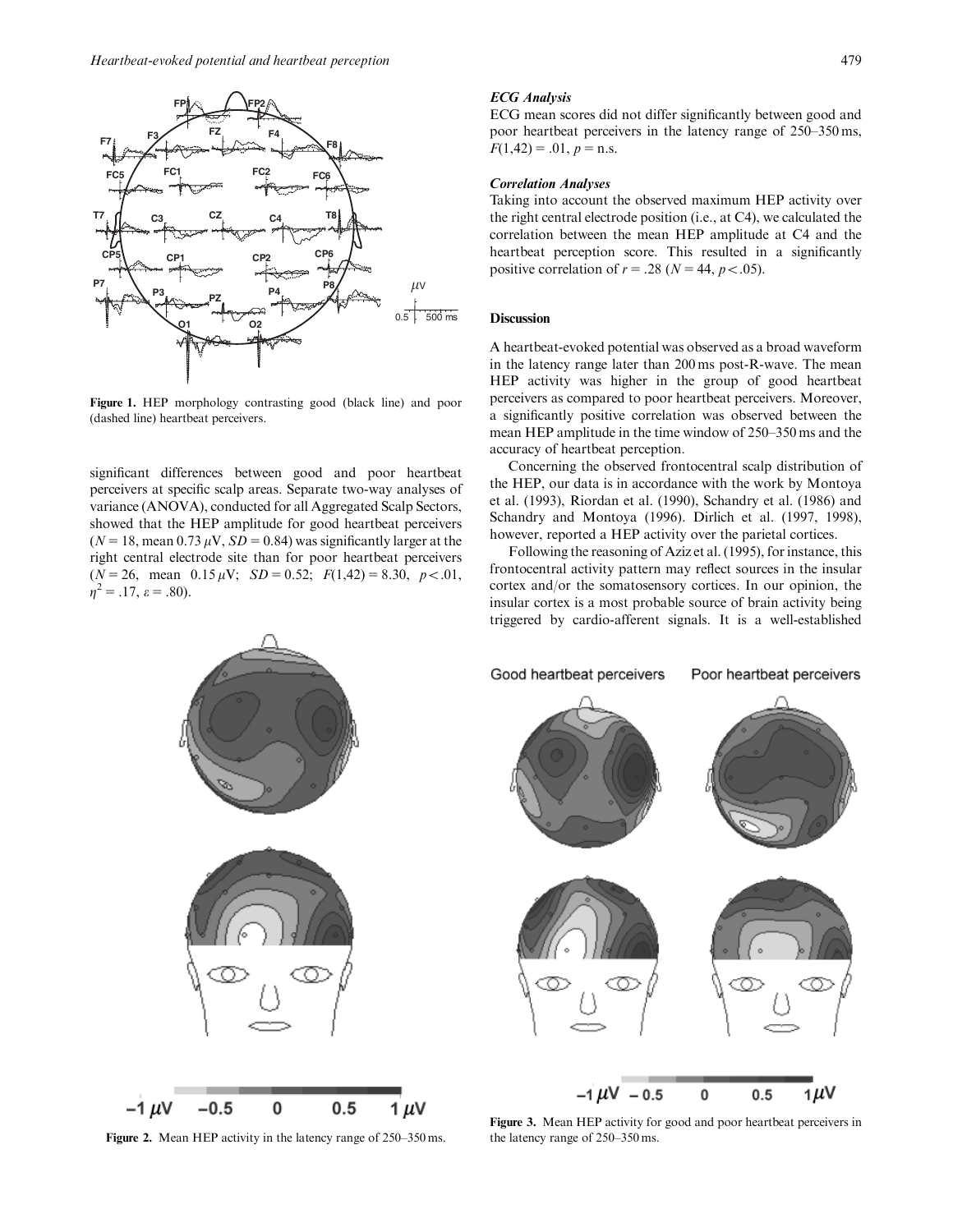

Figure 1. HEP morphology contrasting good (black line) and poor (dashed line) heartbeat perceivers.

significant differences between good and poor heartbeat perceivers at specific scalp areas. Separate two-way analyses of variance (ANOVA), conducted for all Aggregated Scalp Sectors, showed that the HEP amplitude for good heartbeat perceivers ( $N = 18$ , mean 0.73  $\mu$ V,  $SD = 0.84$ ) was significantly larger at the right central electrode site than for poor heartbeat perceivers  $(N = 26$ , mean  $0.15 \mu V$ ;  $SD = 0.52$ ;  $F(1,42) = 8.30$ ,  $p < .01$ ,  $\eta^2 = .17$ ,  $\varepsilon = .80$ ).

#### ECG Analysis

ECG mean scores did not differ significantly between good and poor heartbeat perceivers in the latency range of 250–350 ms,  $F(1,42) = .01, p = n.s.$ 

#### Correlation Analyses

Taking into account the observed maximum HEP activity over the right central electrode position (i.e., at C4), we calculated the correlation between the mean HEP amplitude at C4 and the heartbeat perception score. This resulted in a significantly positive correlation of  $r = .28$  ( $N = 44$ ,  $p < .05$ ).

## **Discussion**

A heartbeat-evoked potential was observed as a broad waveform in the latency range later than 200 ms post-R-wave. The mean HEP activity was higher in the group of good heartbeat perceivers as compared to poor heartbeat perceivers. Moreover, a significantly positive correlation was observed between the mean HEP amplitude in the time window of 250–350 ms and the accuracy of heartbeat perception.

Concerning the observed frontocentral scalp distribution of the HEP, our data is in accordance with the work by Montoya et al. (1993), Riordan et al. (1990), Schandry et al. (1986) and Schandry and Montoya (1996). Dirlich et al. (1997, 1998), however, reported a HEP activity over the parietal cortices.

Following the reasoning of Aziz et al. (1995), for instance, this frontocentral activity pattern may reflect sources in the insular cortex and/or the somatosensory cortices. In our opinion, the insular cortex is a most probable source of brain activity being triggered by cardio-afferent signals. It is a well-established



Figure 2. Mean HEP activity in the latency range of 250–350 ms.

Figure 3. Mean HEP activity for good and poor heartbeat perceivers in the latency range of 250–350 ms.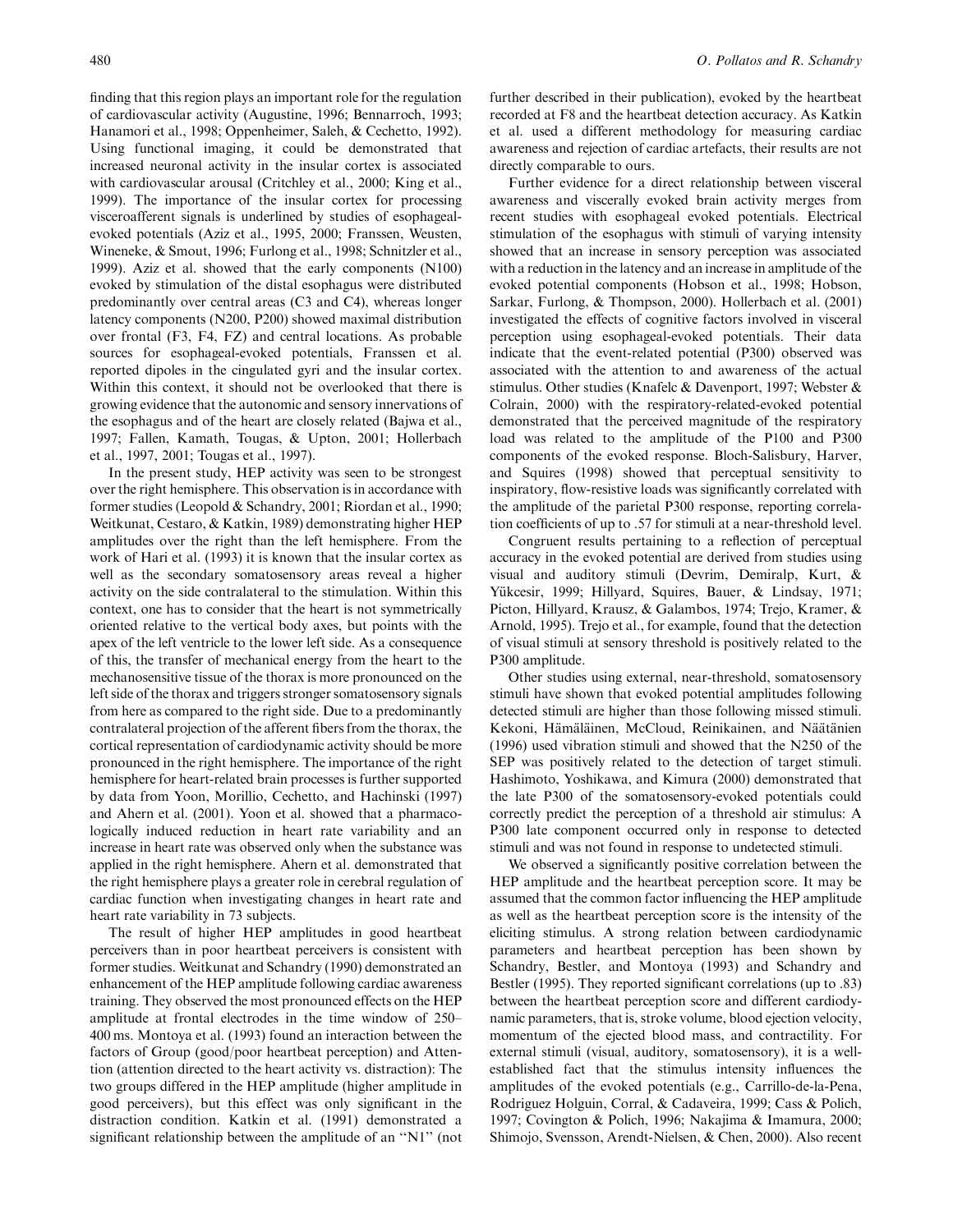finding that this region plays an important role for the regulation of cardiovascular activity (Augustine, 1996; Bennarroch, 1993; Hanamori et al., 1998; Oppenheimer, Saleh, & Cechetto, 1992). Using functional imaging, it could be demonstrated that increased neuronal activity in the insular cortex is associated with cardiovascular arousal (Critchley et al., 2000; King et al., 1999). The importance of the insular cortex for processing visceroafferent signals is underlined by studies of esophagealevoked potentials (Aziz et al., 1995, 2000; Franssen, Weusten, Wineneke, & Smout, 1996; Furlong et al., 1998; Schnitzler et al., 1999). Aziz et al. showed that the early components (N100) evoked by stimulation of the distal esophagus were distributed predominantly over central areas (C3 and C4), whereas longer latency components (N200, P200) showed maximal distribution over frontal (F3, F4, FZ) and central locations. As probable sources for esophageal-evoked potentials, Franssen et al. reported dipoles in the cingulated gyri and the insular cortex. Within this context, it should not be overlooked that there is growing evidence that the autonomic and sensory innervations of the esophagus and of the heart are closely related (Bajwa et al., 1997; Fallen, Kamath, Tougas, & Upton, 2001; Hollerbach et al., 1997, 2001; Tougas et al., 1997).

In the present study, HEP activity was seen to be strongest over the right hemisphere. This observation is in accordance with former studies (Leopold & Schandry, 2001; Riordan et al., 1990; Weitkunat, Cestaro, & Katkin, 1989) demonstrating higher HEP amplitudes over the right than the left hemisphere. From the work of Hari et al. (1993) it is known that the insular cortex as well as the secondary somatosensory areas reveal a higher activity on the side contralateral to the stimulation. Within this context, one has to consider that the heart is not symmetrically oriented relative to the vertical body axes, but points with the apex of the left ventricle to the lower left side. As a consequence of this, the transfer of mechanical energy from the heart to the mechanosensitive tissue of the thorax is more pronounced on the left side of the thorax and triggers stronger somatosensory signals from here as compared to the right side. Due to a predominantly contralateral projection of the afferent fibers from the thorax, the cortical representation of cardiodynamic activity should be more pronounced in the right hemisphere. The importance of the right hemisphere for heart-related brain processes is further supported by data from Yoon, Morillio, Cechetto, and Hachinski (1997) and Ahern et al. (2001). Yoon et al. showed that a pharmacologically induced reduction in heart rate variability and an increase in heart rate was observed only when the substance was applied in the right hemisphere. Ahern et al. demonstrated that the right hemisphere plays a greater role in cerebral regulation of cardiac function when investigating changes in heart rate and heart rate variability in 73 subjects.

The result of higher HEP amplitudes in good heartbeat perceivers than in poor heartbeat perceivers is consistent with former studies. Weitkunat and Schandry (1990) demonstrated an enhancement of the HEP amplitude following cardiac awareness training. They observed the most pronounced effects on the HEP amplitude at frontal electrodes in the time window of 250– 400 ms. Montoya et al. (1993) found an interaction between the factors of Group (good/poor heartbeat perception) and Attention (attention directed to the heart activity vs. distraction): The two groups differed in the HEP amplitude (higher amplitude in good perceivers), but this effect was only significant in the distraction condition. Katkin et al. (1991) demonstrated a significant relationship between the amplitude of an ''N1'' (not further described in their publication), evoked by the heartbeat recorded at F8 and the heartbeat detection accuracy. As Katkin et al. used a different methodology for measuring cardiac awareness and rejection of cardiac artefacts, their results are not directly comparable to ours.

Further evidence for a direct relationship between visceral awareness and viscerally evoked brain activity merges from recent studies with esophageal evoked potentials. Electrical stimulation of the esophagus with stimuli of varying intensity showed that an increase in sensory perception was associated with a reduction in the latency and an increase in amplitude of the evoked potential components (Hobson et al., 1998; Hobson, Sarkar, Furlong, & Thompson, 2000). Hollerbach et al. (2001) investigated the effects of cognitive factors involved in visceral perception using esophageal-evoked potentials. Their data indicate that the event-related potential (P300) observed was associated with the attention to and awareness of the actual stimulus. Other studies (Knafelc & Davenport, 1997; Webster & Colrain, 2000) with the respiratory-related-evoked potential demonstrated that the perceived magnitude of the respiratory load was related to the amplitude of the P100 and P300 components of the evoked response. Bloch-Salisbury, Harver, and Squires (1998) showed that perceptual sensitivity to inspiratory, flow-resistive loads was significantly correlated with the amplitude of the parietal P300 response, reporting correlation coefficients of up to .57 for stimuli at a near-threshold level.

Congruent results pertaining to a reflection of perceptual accuracy in the evoked potential are derived from studies using visual and auditory stimuli (Devrim, Demiralp, Kurt, & Yükcesir, 1999; Hillyard, Squires, Bauer, & Lindsay, 1971; Picton, Hillyard, Krausz, & Galambos, 1974; Trejo, Kramer, & Arnold, 1995). Trejo et al., for example, found that the detection of visual stimuli at sensory threshold is positively related to the P300 amplitude.

Other studies using external, near-threshold, somatosensory stimuli have shown that evoked potential amplitudes following detected stimuli are higher than those following missed stimuli. Kekoni, Hämäläinen, McCloud, Reinikainen, and Näätänien (1996) used vibration stimuli and showed that the N250 of the SEP was positively related to the detection of target stimuli. Hashimoto, Yoshikawa, and Kimura (2000) demonstrated that the late P300 of the somatosensory-evoked potentials could correctly predict the perception of a threshold air stimulus: A P300 late component occurred only in response to detected stimuli and was not found in response to undetected stimuli.

We observed a significantly positive correlation between the HEP amplitude and the heartbeat perception score. It may be assumed that the common factor influencing the HEP amplitude as well as the heartbeat perception score is the intensity of the eliciting stimulus. A strong relation between cardiodynamic parameters and heartbeat perception has been shown by Schandry, Bestler, and Montoya (1993) and Schandry and Bestler (1995). They reported significant correlations (up to .83) between the heartbeat perception score and different cardiodynamic parameters, that is, stroke volume, blood ejection velocity, momentum of the ejected blood mass, and contractility. For external stimuli (visual, auditory, somatosensory), it is a wellestablished fact that the stimulus intensity influences the amplitudes of the evoked potentials (e.g., Carrillo-de-la-Pena, Rodriguez Holguin, Corral, & Cadaveira, 1999; Cass & Polich, 1997; Covington & Polich, 1996; Nakajima & Imamura, 2000; Shimojo, Svensson, Arendt-Nielsen, & Chen, 2000). Also recent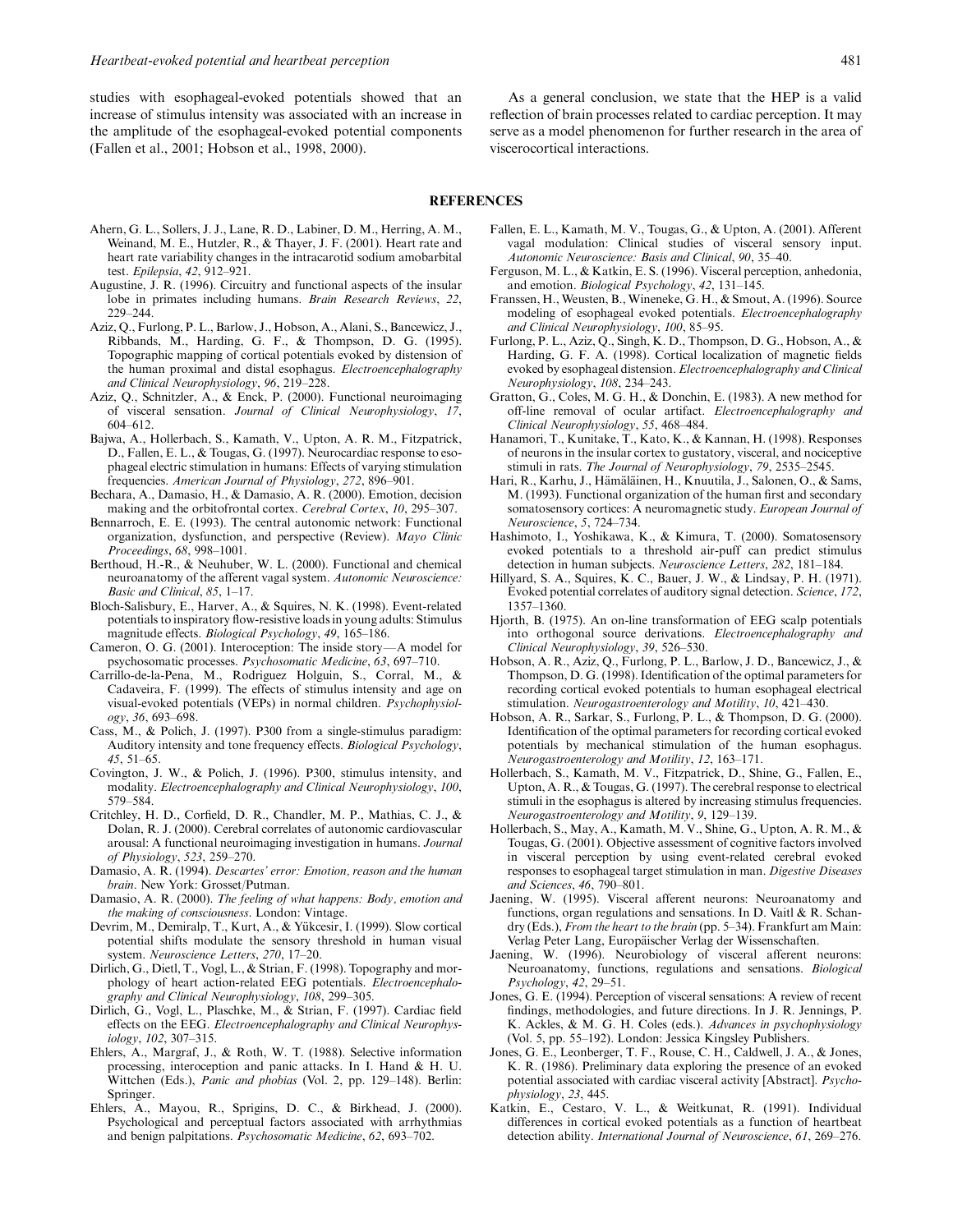studies with esophageal-evoked potentials showed that an increase of stimulus intensity was associated with an increase in the amplitude of the esophageal-evoked potential components (Fallen et al., 2001; Hobson et al., 1998, 2000).

As a general conclusion, we state that the HEP is a valid reflection of brain processes related to cardiac perception. It may serve as a model phenomenon for further research in the area of viscerocortical interactions.

## REFERENCES

- Ahern, G. L., Sollers, J. J., Lane, R. D., Labiner, D. M., Herring, A. M., Weinand, M. E., Hutzler, R., & Thayer, J. F. (2001). Heart rate and heart rate variability changes in the intracarotid sodium amobarbital test. Epilepsia, 42, 912–921.
- Augustine, J. R. (1996). Circuitry and functional aspects of the insular lobe in primates including humans. Brain Research Reviews, 22, 229–244.
- Aziz, Q., Furlong, P. L., Barlow, J., Hobson, A., Alani, S., Bancewicz, J., Ribbands, M., Harding, G. F., & Thompson, D. G. (1995). Topographic mapping of cortical potentials evoked by distension of the human proximal and distal esophagus. Electroencephalography and Clinical Neurophysiology, 96, 219–228.
- Aziz, Q., Schnitzler, A., & Enck, P. (2000). Functional neuroimaging of visceral sensation. Journal of Clinical Neurophysiology, 17, 604–612.
- Bajwa, A., Hollerbach, S., Kamath, V., Upton, A. R. M., Fitzpatrick, D., Fallen, E. L., & Tougas, G. (1997). Neurocardiac response to esophageal electric stimulation in humans: Effects of varying stimulation frequencies. American Journal of Physiology, 272, 896–901.
- Bechara, A., Damasio, H., & Damasio, A. R. (2000). Emotion, decision making and the orbitofrontal cortex. Cerebral Cortex, 10, 295–307.
- Bennarroch, E. E. (1993). The central autonomic network: Functional organization, dysfunction, and perspective (Review). Mayo Clinic Proceedings, 68, 998–1001.
- Berthoud, H.-R., & Neuhuber, W. L. (2000). Functional and chemical neuroanatomy of the afferent vagal system. Autonomic Neuroscience: Basic and Clinical, 85, 1–17.
- Bloch-Salisbury, E., Harver, A., & Squires, N. K. (1998). Event-related potentials to inspiratory flow-resistive loads in young adults: Stimulus magnitude effects. Biological Psychology, 49, 165–186.
- Cameron, O. G. (2001). Interoception: The inside story-A model for psychosomatic processes. Psychosomatic Medicine, 63, 697–710.
- Carrillo-de-la-Pena, M., Rodriguez Holguin, S., Corral, M., & Cadaveira, F. (1999). The effects of stimulus intensity and age on visual-evoked potentials (VEPs) in normal children. Psychophysiology, 36, 693–698.
- Cass, M., & Polich, J. (1997). P300 from a single-stimulus paradigm: Auditory intensity and tone frequency effects. Biological Psychology, 45, 51–65.
- Covington, J. W., & Polich, J. (1996). P300, stimulus intensity, and modality. Electroencephalography and Clinical Neurophysiology, 100, 579–584.
- Critchley, H. D., Corfield, D. R., Chandler, M. P., Mathias, C. J., & Dolan, R. J. (2000). Cerebral correlates of autonomic cardiovascular arousal: A functional neuroimaging investigation in humans. Journal of Physiology, 523, 259–270.
- Damasio, A. R. (1994). Descartes' error: Emotion, reason and the human brain. New York: Grosset/Putman.
- Damasio, A. R. (2000). The feeling of what happens: Body, emotion and the making of consciousness. London: Vintage.
- Devrim, M., Demiralp, T., Kurt, A., & Yükcesir, I. (1999). Slow cortical potential shifts modulate the sensory threshold in human visual system. Neuroscience Letters, 270, 17–20.
- Dirlich, G., Dietl, T., Vogl, L., & Strian, F. (1998). Topography and morphology of heart action-related EEG potentials. Electroencephalography and Clinical Neurophysiology, 108, 299–305.
- Dirlich, G., Vogl, L., Plaschke, M., & Strian, F. (1997). Cardiac field effects on the EEG. Electroencephalography and Clinical Neurophysiology, 102, 307–315.
- Ehlers, A., Margraf, J., & Roth, W. T. (1988). Selective information processing, interoception and panic attacks. In I. Hand & H. U. Wittchen (Eds.), Panic and phobias (Vol. 2, pp. 129–148). Berlin: Springer.
- Ehlers, A., Mayou, R., Sprigins, D. C., & Birkhead, J. (2000). Psychological and perceptual factors associated with arrhythmias and benign palpitations. Psychosomatic Medicine, 62, 693–702.
- Fallen, E. L., Kamath, M. V., Tougas, G., & Upton, A. (2001). Afferent vagal modulation: Clinical studies of visceral sensory input. Autonomic Neuroscience: Basis and Clinical, 90, 35–40.
- Ferguson, M. L., & Katkin, E. S. (1996). Visceral perception, anhedonia, and emotion. Biological Psychology, 42, 131–145.
- Franssen, H., Weusten, B., Wineneke, G. H., & Smout, A. (1996). Source modeling of esophageal evoked potentials. Electroencephalography and Clinical Neurophysiology, 100, 85–95.
- Furlong, P. L., Aziz, Q., Singh, K. D., Thompson, D. G., Hobson, A., & Harding, G. F. A. (1998). Cortical localization of magnetic fields evoked by esophageal distension. Electroencephalography and Clinical Neurophysiology, 108, 234–243.
- Gratton, G., Coles, M. G. H., & Donchin, E. (1983). A new method for off-line removal of ocular artifact. Electroencephalography and Clinical Neurophysiology, 55, 468–484.
- Hanamori, T., Kunitake, T., Kato, K., & Kannan, H. (1998). Responses of neurons in the insular cortex to gustatory, visceral, and nociceptive stimuli in rats. The Journal of Neurophysiology, 79, 2535–2545.
- Hari, R., Karhu, J., Hämäläinen, H., Knuutila, J., Salonen, O., & Sams, M. (1993). Functional organization of the human first and secondary somatosensory cortices: A neuromagnetic study. European Journal of Neuroscience, 5, 724–734.
- Hashimoto, I., Yoshikawa, K., & Kimura, T. (2000). Somatosensory evoked potentials to a threshold air-puff can predict stimulus detection in human subjects. Neuroscience Letters, 282, 181–184.
- Hillyard, S. A., Squires, K. C., Bauer, J. W., & Lindsay, P. H. (1971). Evoked potential correlates of auditory signal detection. Science, 172, 1357–1360.
- Hjorth, B. (1975). An on-line transformation of EEG scalp potentials into orthogonal source derivations. Electroencephalography and Clinical Neurophysiology, 39, 526–530.
- Hobson, A. R., Aziz, Q., Furlong, P. L., Barlow, J. D., Bancewicz, J., & Thompson, D. G. (1998). Identification of the optimal parameters for recording cortical evoked potentials to human esophageal electrical stimulation. Neurogastroenterology and Motility, 10, 421–430.
- Hobson, A. R., Sarkar, S., Furlong, P. L., & Thompson, D. G. (2000). Identification of the optimal parameters for recording cortical evoked potentials by mechanical stimulation of the human esophagus. Neurogastroenterology and Motility, 12, 163–171.
- Hollerbach, S., Kamath, M. V., Fitzpatrick, D., Shine, G., Fallen, E., Upton, A. R., & Tougas, G. (1997). The cerebral response to electrical stimuli in the esophagus is altered by increasing stimulus frequencies. Neurogastroenterology and Motility, 9, 129–139.
- Hollerbach, S., May, A., Kamath, M. V., Shine, G., Upton, A. R. M., & Tougas, G. (2001). Objective assessment of cognitive factors involved in visceral perception by using event-related cerebral evoked responses to esophageal target stimulation in man. Digestive Diseases and Sciences, 46, 790–801.
- Jaening, W. (1995). Visceral afferent neurons: Neuroanatomy and functions, organ regulations and sensations. In D. Vaitl & R. Schandry (Eds.), *From the heart to the brain* (pp. 5–34). Frankfurt am Main: Verlag Peter Lang, Europäischer Verlag der Wissenschaften.
- Jaening, W. (1996). Neurobiology of visceral afferent neurons: Neuroanatomy, functions, regulations and sensations. Biological Psychology, 42, 29–51.
- Jones, G. E. (1994). Perception of visceral sensations: A review of recent findings, methodologies, and future directions. In J. R. Jennings, P. K. Ackles, & M. G. H. Coles (eds.). Advances in psychophysiology (Vol. 5, pp. 55–192). London: Jessica Kingsley Publishers.
- Jones, G. E., Leonberger, T. F., Rouse, C. H., Caldwell, J. A., & Jones, K. R. (1986). Preliminary data exploring the presence of an evoked potential associated with cardiac visceral activity [Abstract]. Psychophysiology, 23, 445.
- Katkin, E., Cestaro, V. L., & Weitkunat, R. (1991). Individual differences in cortical evoked potentials as a function of heartbeat detection ability. International Journal of Neuroscience, 61, 269–276.